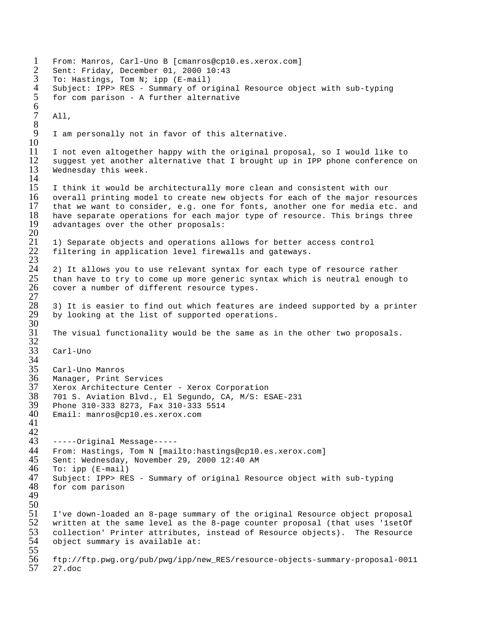```
1 From: Manros, Carl-Uno B [cmanros@cp10.es.xerox.com]
 2 Sent: Friday, December 01, 2000 10:43<br>3 To: Hastings, Tom N; ipp (E-mail)
 3 To: Hastings, Tom N; ipp (E-mail)
 4 Subject: IPP> RES - Summary of original Resource object with sub-typing<br>5 for com parison - A further alternative
      5 for com parison - A further alternative
 \frac{6}{7}A11,8
      I am personally not in favor of this alternative.
\frac{10}{11}11 I not even altogether happy with the original proposal, so I would like to<br>12 Suggest vet another alternative that I brought up in IPP phone conference (
12 suggest yet another alternative that I brought up in IPP phone conference on 13 Wednesday this week.
      Wednesday this week.
\frac{14}{15}I think it would be architecturally more clean and consistent with our
16 overall printing model to create new objects for each of the major resources<br>17 that we want to consider, e.g. one for fonts, another one for media etc. and
17 that we want to consider, e.g. one for fonts, another one for media etc. and 18 have separate operations for each major type of resource. This brings three
18 have separate operations for each major type of resource. This brings three 19 advantages over the other proposals:
      advantages over the other proposals:
\frac{20}{21}21 1) Separate objects and operations allows for better access control<br>22 filtering in application level firewalls and gateways.
      filtering in application level firewalls and gateways.
\frac{23}{24}24 2) It allows you to use relevant syntax for each type of resource rather<br>25 than have to try to come up more generic syntax which is neutral enough
25 than have to try to come up more generic syntax which is neutral enough to 26 cover a number of different resource types.
      cover a number of different resource types.
\frac{27}{28}28 3) It is easier to find out which features are indeed supported by a printer 29 by looking at the list of supported operations.
      by looking at the list of supported operations.
30<br>31
      The visual functionality would be the same as in the other two proposals.
32<br>33
      Carl-Uno
\frac{34}{35}35 Carl-Uno Manros
36 Manager, Print Services
37 Xerox Architecture Center - Xerox Corporation<br>38 701 S. Aviation Blvd., El Sequndo, CA, M/S: E:
38 701 S. Aviation Blvd., El Segundo, CA, M/S: ESAE-231
39 Phone 310-333 8273, Fax 310-333 5514
      40 Email: manros@cp10.es.xerox.com 
41
42<br>43
43 -----Original Message-----
44 From: Hastings, Tom N [mailto:hastings@cp10.es.xerox.com]
45 Sent: Wednesday, November 29, 2000 12:40 AM<br>46 To: ipp (E-mail)
46 To: ipp (E-mail)<br>47 Subject: IPP> RE
47 Subject: IPP> RES - Summary of original Resource object with sub-typing
      for com parison
49
\frac{50}{51}51 I've down-loaded an 8-page summary of the original Resource object proposal
52 written at the same level as the 8-page counter proposal (that uses 'lsetOf<br>53 collection' Printer attributes, instead of Resource objects). The Resource
53 collection' Printer attributes, instead of Resource objects). The Resource
      object summary is available at:
55<br>56
56 ftp://ftp.pwg.org/pub/pwg/ipp/new_RES/resource-objects-summary-proposal-0011
      57 27.doc
```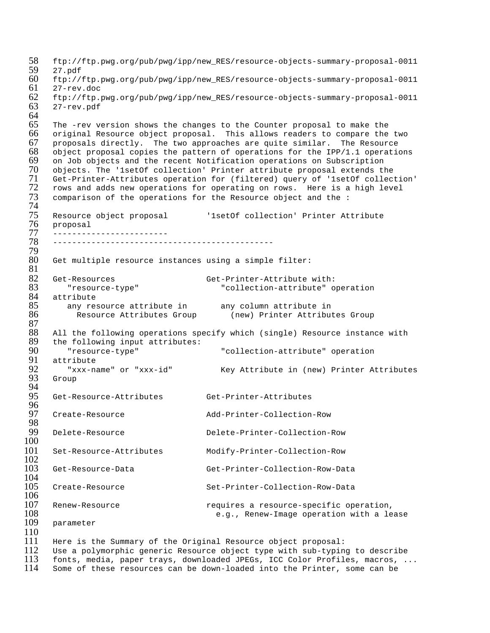```
58 ftp://ftp.pwg.org/pub/pwg/ipp/new_RES/resource-objects-summary-proposal-0011<br>59 27.pdf
 59 27.pdf<br>60 ftp://
 60 ftp://ftp.pwg.org/pub/pwg/ipp/new_RES/resource-objects-summary-proposal-0011
 61 27-rev.doc<br>62 ftp://ftp.
 62 ftp://ftp.pwg.org/pub/pwg/ipp/new_RES/resource-objects-summary-proposal-0011
       63 27-rev.pdf
 64<br>65
 65 The -rev version shows the changes to the Counter proposal to make the<br>66 original Resource object proposal. This allows readers to compare the
       original Resource object proposal. This allows readers to compare the two
 67 proposals directly. The two approaches are quite similar. The Resource 68 object proposal copies the pattern of operations for the IPP/1.1 operations
 68 object proposal copies the pattern of operations for the IPP/1.1 operations 69 on Job objects and the recent Notification operations on Subscription
 69 on Job objects and the recent Notification operations on Subscription<br>70 objects. The 'lsetOf collection' Printer attribute proposal extends th
 70 objects. The 'lsetOf collection' Printer attribute proposal extends the<br>71 Get-Printer-Attributes operation for (filtered) query of 'lsetOf collect
 71 Get-Printer-Attributes operation for (filtered) query of '1setOf collection'
 72 rows and adds new operations for operating on rows. Here is a high level 73 comparison of the operations for the Resource object and the :
       comparison of the operations for the Resource object and the :
 74<br>75
 75 Resource object proposal '1setOf collection' Printer Attribute
 76 proposal<br>77 ---------
 77 ------------------------
       78 ----------------------------------------------
 79
       Get multiple resource instances using a simple filter:
 \frac{81}{82}82 Get-Resources Get-Printer-Attribute with:<br>83 Tresource-type" Get-Printer-Attribute with:<br>84 Collection-attribute of
 83 "resource-type" "collection-attribute" operation
 84 attribute<br>85 any res
 85 any resource attribute in any column attribute in
 86 Resource Attributes Group (new) Printer Attributes Group
 87<br>88
 88 All the following operations specify which (single) Resource instance with<br>89 the following input attributes:
 89 the following input attributes:<br>90 sext-type"
 90 "resource-type" "collection-attribute" operation
 91 attribute
 92 "xxx-name" or "xxx-id" Key Attribute in (new) Printer Attributes
       Group
 94<br>95
      95 Get-Resource-Attributes Get-Printer-Attributes
 96<br>97
       97 Create-Resource Add-Printer-Collection-Row
 98<br>99
       99 Delete-Resource Delete-Printer-Collection-Row
100
101 Set-Resource-Attributes Modify-Printer-Collection-Row
\frac{102}{103}103 Get-Resource-Data Get-Printer-Collection-Row-Data
\frac{104}{105}105 Create-Resource Set-Printer-Collection-Row-Data
106<br>107
107 Renew-Resource requires a resource-specific operation, 
108 e.g., Renew-Image operation with a lease parameter
      parameter
\frac{110}{111}111 Here is the Summary of the Original Resource object proposal:<br>112 Use a polymorphic generic Resource object type with sub-typin
```
112 Use a polymorphic generic Resource object type with sub-typing to describe 13 fonts, media, paper travs, downloaded JPEGs, ICC Color Profiles, macros, . 113 fonts, media, paper trays, downloaded JPEGs, ICC Color Profiles, macros, ...<br>114 Some of these resources can be down-loaded into the Printer, some can be Some of these resources can be down-loaded into the Printer, some can be